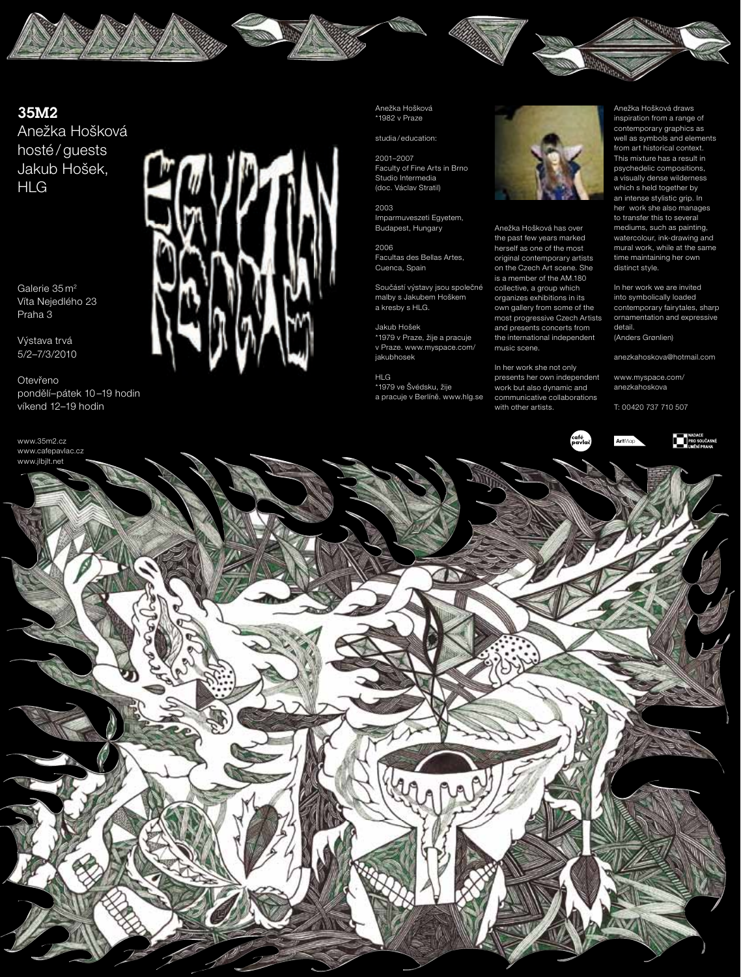



Anežka Hošková hosté / guests Jakub Hošek, HLG

Galerie 35 m 2 Víta Nejedlého 23 Praha 3

Výstava trvá 5/2–7/3/2010

Otevřeno pondělí–pátek 10 –19 hodin víkend 12–19 hodin



Anežka Hošková \*1982 v Praze

studia / education:

2001–2007 Faculty of Fine Arts in Brno Studio Intermedia (doc. Václav Stratil)

2003 Imparmuveszeti Egyetem, Budapest, Hungary

2006 Facultas des Bellas Artes, Cuenca, Spain

Součástí výstavy jsou společné malby s Jakubem Hoškem a kresby s HLG.

Jakub Hošek \*1979 v Praze, žije a pracuje v Praze. www.myspace.com/ jakubhosek

HLG \*1979 ve Švédsku, žije a pracuje v Berlíně. www.hlg.se



Anežka Hošková has over the past few years marked herself as one of the most original contemporary artists on the Czech Art scene. She is a member of the AM.180 collective, a group which organizes exhibitions in its own gallery from some of the most progressive Czech Artists and presents concerts from the international independent music scene.

In her work she not only presents her own independent work but also dynamic and communicative collaborations with other artists.

Anežka Hošková draws inspiration from a range of contemporary graphics as well as symbols and elements from art historical context. This mixture has a result in psychedelic compositions, a visually dense wilderness which s held together by an intense stylistic grip. In her work she also manages to transfer this to several mediums, such as painting, watercolour, ink-drawing and mural work, while at the same time maintaining her own distinct style.

In her work we are invited into symbolically loaded contemporary fairytales, sharp ornamentation and expressive detail. (Anders Grønlien)

anezkahoskova@hotmail.com

www.myspace.com/ anezkahoskova

T: 00420 737 710 507